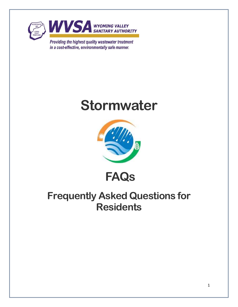

in a cost-effective, environmentally safe manner.





**FAQs**

# **Frequently Asked Questions for Residents**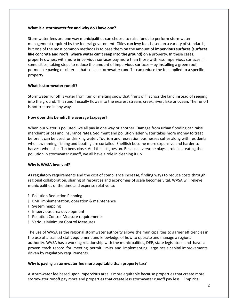# **What is a stormwater fee and why do I have one?**

Stormwater fees are one way municipalities can choose to raise funds to perform stormwater management required by the federal government. Cities can levy fees based on a variety of standards, but one of the most common methods is to base them on the amount of **impervious surfaces (surfaces like concrete and roofs, where water can't seep into the ground)** on a property. In these cases, property owners with more impervious surfaces pay more than those with less impervious surfaces. In some cities, taking steps to reduce the amount of impervious surfaces – by installing a green roof, permeable paving or cisterns that collect stormwater runoff – can reduce the fee applied to a specific property.

# **What is stormwater runoff?**

Stormwater runoff is water from rain or melting snow that "runs off" across the land instead of seeping into the ground. This runoff usually flows into the nearest stream, creek, river, lake or ocean. The runoff is not treated in any way.

# **How does this benefit the average taxpayer?**

When our water is polluted, we all pay in one way or another. Damage from urban flooding can raise merchant prices and insurance rates. Sediment and pollution laden water takes more money to treat before it can be used for drinking water. Tourism and recreation businesses suffer along with residents when swimming, fishing and boating are curtailed. Shellfish become more expensive and harder to harvest when shellfish beds close. And the list goes on. Because everyone plays a role in creating the pollution in stormwater runoff, we all have a role in cleaning it up

### **Why is WVSA involved?**

As regulatory requirements and the cost of compliance increase, finding ways to reduce costs through regional collaboration, sharing of resources and economies of scale becomes vital. WVSA will relieve municipalities of the time and expense relative to:

- **Pollution Reduction Planning**
- **BMP** implementation, operation & maintenance
- System mapping
- **Impervious area development**
- **Pollution Control Measure requirements**
- **No. Various Minimum Control Measures**

The use of WVSA as the regional stormwater authority allows the municipalities to garner efficiencies in the use of a trained staff, equipment and knowledge of how to operate and manage a regional authority. WVSA has a working relationship with the municipalities, DEP, state legislators and have a proven track record for meeting permit limits and implementing large scale capital improvements driven by regulatory requirements.

### **Why is paying a stormwater fee more equitable than property tax?**

A stormwater fee based upon impervious area is more equitable because properties that create more stormwater runoff pay more and properties that create less stormwater runoff pay less. Empirical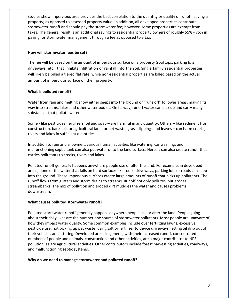studies show impervious area provides the best correlation to the quantity or quality of runoff leaving a property; as opposed to assessed property value. In addition, all developed properties contribute stormwater runoff and should pay the stormwater fee; however, some properties are exempt from taxes. The general result is an additional savings to residential property owners of roughly 55% - 75% in paying for stormwater management through a fee as opposed to a tax.

# **How will stormwater fees be set?**

The fee will be based on the amount of impervious surface on a property (rooftops, parking lots, driveways, etc.) that inhibits infiltration of rainfall into the soil. Single family residential properties will likely be billed a tiered flat rate, while non-residential properties are billed based on the actual amount of impervious surface on their property.

# **What is polluted runoff?**

Water from rain and melting snow either seeps into the ground or "runs off" to lower areas, making its way into streams, lakes and other water bodies. On its way, runoff water can pick up and carry many substances that pollute water.

Some - like pesticides, fertilizers, oil and soap – are harmful in any quantity. Others – like sediment from construction, bare soil, or agricultural land, or pet waste, grass clippings and leaves – can harm creeks, rivers and lakes in sufficient quantities.

In addition to rain and snowmelt, various human activities like watering, car washing, and malfunctioning septic tank can also put water onto the land surface. Here, it can also create runoff that carries pollutants to creeks, rivers and lakes.

Polluted runoff generally happens anywhere people use or alter the land. For example, in developed areas, none of the water that falls on hard surfaces like roofs, driveways, parking lots or roads can seep into the ground. These impervious surfaces create large amounts of runoff that picks up pollutants. The runoff flows from gutters and storm drains to streams. Runoff not only pollutes' but erodes streambanks. The mix of pollution and eroded dirt muddies the water and causes problems downstream.

# **What causes polluted stormwater runoff?**

Polluted stormwater runoff generally happens anywhere people use or alter the land. People going about their daily lives are the number one source of stormwater pollutants. Most people are unaware of how they impact water quality. Some common examples include over fertilizing lawns, excessive pesticide use, not picking up pet waste, using salt or fertilizer to de-ice driveways, letting oil drip out of their vehicles and littering. Developed areas in general, with their increased runoff, concentrated numbers of people and animals, construction and other activities, are a major contributor to NPS pollution, as are agricultural activities. Other contributors include forest harvesting activities, roadways, and malfunctioning septic systems.

# **Why do we need to manage stormwater and polluted runoff?**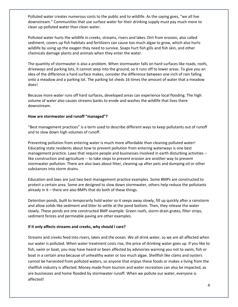Polluted water creates numerous costs to the public and to wildlife. As the saying goes, "we all live downstream." Communities that use surface water for their drinking supply must pay much more to clean up polluted water than clean water.

Polluted water hurts the wildlife in creeks, streams, rivers and lakes. Dirt from erosion, also called sediment, covers up fish habitats and fertilizers can cause too much algae to grow, which also hurts wildlife by using up the oxygen they need to survive. Soaps hurt fish gills and fish skin, and other chemicals damage plants and animals when they enter the water.

The quantity of stormwater is also a problem. When stormwater falls on hard surfaces like roads, roofs, driveways and parking lots, it cannot seep into the ground, so it runs off to lower areas. To give you an idea of the difference a hard surface makes, consider the difference between one inch of rain falling onto a meadow and a parking lot. The parking lot sheds 16 times the amount of water that a meadow does!

Because more water runs off hard surfaces, developed areas can experience local flooding. The high volume of water also causes streams banks to erode and washes the wildlife that lives there downstream.

# **How are stormwater and runoff "managed"?**

"Best management practices" is a term used to describe different ways to keep pollutants out of runoff and to slow down high volumes of runoff.

Preventing pollution from entering water is much more affordable than cleaning polluted water! Educating state residents about how to prevent pollution from entering waterways is one best management practice. Laws that require people and businesses involved in earth disturbing activities - like construction and agriculture -- to take steps to prevent erosion are another way to prevent stormwater pollution. There are also laws about litter, cleaning up after pets and dumping oil or other substances into storm drains.

Education and laws are just two best management practice examples. Some BMPs are constructed to protect a certain area. Some are designed to slow down stormwater, others help reduce the pollutants already in it – there are also BMPs that do both of these things.

Detention ponds, built to temporarily hold water so it seeps away slowly, fill up quickly after a rainstorm and allow solids like sediment and litter to settle at the pond bottom. Then, they release the water slowly. These ponds are one constructed BMP example. Green roofs, storm drain grates, filter strips, sediment fences and permeable paving are other examples.

# **If it only affects streams and creeks, why should I care?**

Streams and creeks feed into rivers, lakes and the ocean. We all drink water, so we are all affected when our water is polluted. When water treatment costs rise, the price of drinking water goes up. If you like to fish, swim or boat, you may have heard or been affected by advisories warning you not to swim, fish or boat in a certain area because of unhealthy water or too much algae. Shellfish like clams and oysters cannot be harvested from polluted waters, so anyone that enjoys these foods or makes a living from the shellfish industry is affected. Money made from tourism and water recreation can also be impacted, as are businesses and home flooded by stormwater runoff. When we pollute our water, everyone is affected!